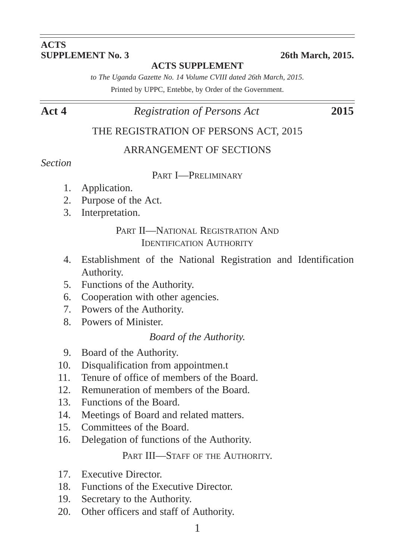# **ACTS**<br>**SUPPLEMENT** No. 3

#### **ACTS SUPPLEMENT**

**SUPPLEMENT No. 3 26th March, 2015.**

*to The Uganda Gazette No. 14 Volume CVIII dated 26th March, 2015.* Printed by UPPC, Entebbe, by Order of the Government.

#### **Act 4** *Registration of Persons Act* **2015**

#### THE REGISTRATION OF PERSONS ACT, 2015

#### ARRANGEMENT OF SECTIONS

#### *Section*

#### PART I—PRELIMINARY

- 1. Application.
- 2. Purpose of the Act.
- 3. Interpretation.

#### PART II—NATIONAL REGISTRATION AND IDENTIFICATION AUTHORITY

- 4. Establishment of the National Registration and Identification Authority.
- 5. Functions of the Authority.
- 6. Cooperation with other agencies.
- 7. Powers of the Authority.
- 8. Powers of Minister.

#### *Board of the Authority.*

- 9. Board of the Authority.
- 10. Disqualification from appointmen.t
- 11. Tenure of office of members of the Board.
- 12. Remuneration of members of the Board.
- 13. Functions of the Board.
- 14. Meetings of Board and related matters.
- 15. Committees of the Board.
- 16. Delegation of functions of the Authority.

#### PART III—STAFF OF THE AUTHORITY.

- 17. Executive Director.
- 18. Functions of the Executive Director.
- 19. Secretary to the Authority.
- 20. Other officers and staff of Authority.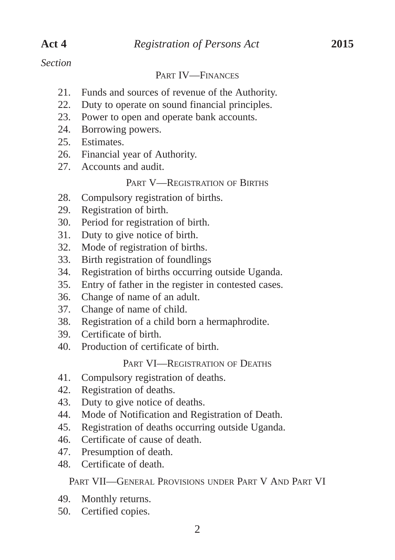#### *Section*

#### PART IV—FINANCES

- 21. Funds and sources of revenue of the Authority.
- 22. Duty to operate on sound financial principles.
- 23. Power to open and operate bank accounts.
- 24. Borrowing powers.
- 25. Estimates.
- 26. Financial year of Authority.
- 27. Accounts and audit.

#### PART V—REGISTRATION OF BIRTHS

- 28. Compulsory registration of births.
- 29. Registration of birth.
- 30. Period for registration of birth.
- 31. Duty to give notice of birth.
- 32. Mode of registration of births.
- 33. Birth registration of foundlings
- 34. Registration of births occurring outside Uganda.
- 35. Entry of father in the register in contested cases.
- 36. Change of name of an adult.
- 37. Change of name of child.
- 38. Registration of a child born a hermaphrodite.
- 39. Certificate of birth.
- 40. Production of certificate of birth.

#### PART VI—REGISTRATION OF DEATHS

- 41. Compulsory registration of deaths.
- 42. Registration of deaths.
- 43. Duty to give notice of deaths.
- 44. Mode of Notification and Registration of Death.
- 45. Registration of deaths occurring outside Uganda.
- 46. Certificate of cause of death.
- 47. Presumption of death.
- 48. Certificate of death.

PART VII—GENERAL PROVISIONS UNDER PART V AND PART VI

- 49. Monthly returns.
- 50. Certified copies.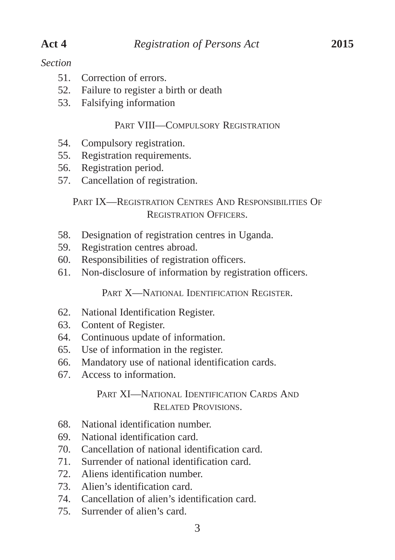#### *Section*

- 51. Correction of errors.
- 52. Failure to register a birth or death
- 53. Falsifying information

#### PART VIII—COMPULSORY REGISTRATION

- 54. Compulsory registration.
- 55. Registration requirements.
- 56. Registration period.
- 57. Cancellation of registration.

#### PART IX—REGISTRATION CENTRES AND RESPONSIBILITIES OF REGISTRATION OFFICERS.

- 58. Designation of registration centres in Uganda.
- 59. Registration centres abroad.
- 60. Responsibilities of registration officers.
- 61. Non-disclosure of information by registration officers.

PART X-NATIONAL IDENTIFICATION REGISTER.

- 62. National Identification Register.
- 63. Content of Register.
- 64. Continuous update of information.
- 65. Use of information in the register.
- 66. Mandatory use of national identification cards.
- 67. Access to information.

#### PART XI—NATIONAL IDENTIFICATION CARDS AND RELATED PROVISIONS.

- 68. National identification number.
- 69. National identification card.
- 70. Cancellation of national identification card.
- 71. Surrender of national identification card.
- 72. Aliens identification number.
- 73. Alien's identification card.
- 74. Cancellation of alien's identification card.
- 75. Surrender of alien's card.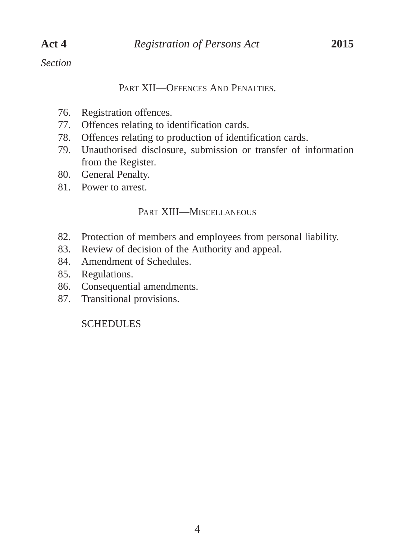#### *Section*

#### PART XII—OFFENCES AND PENALTIES

- 76. Registration offences.
- 77. Offences relating to identification cards.
- 78. Offences relating to production of identification cards.
- 79. Unauthorised disclosure, submission or transfer of information from the Register.
- 80. General Penalty.
- 81. Power to arrest.

#### PART XIII—MISCELLANEOUS

- 82. Protection of members and employees from personal liability.
- 83. Review of decision of the Authority and appeal.
- 84. Amendment of Schedules.
- 85. Regulations.
- 86. Consequential amendments.
- 87. Transitional provisions.

**SCHEDULES**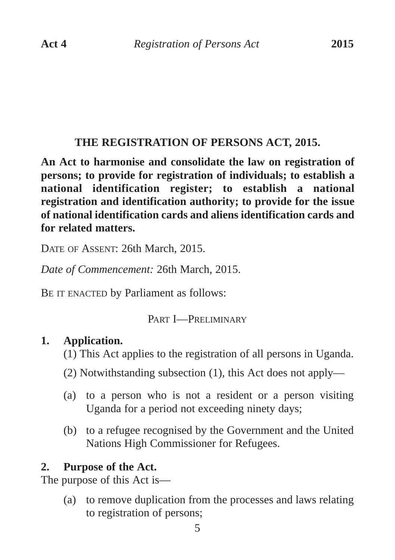# **THE REGISTRATION OF PERSONS ACT, 2015.**

**An Act to harmonise and consolidate the law on registration of persons; to provide for registration of individuals; to establish a national identification register; to establish a national registration and identification authority; to provide for the issue of national identification cards and aliens identification cards and for related matters.**

DATE OF ASSENT: 26th March, 2015.

*Date of Commencement:* 26th March, 2015.

BE IT ENACTED by Parliament as follows:

# PART I—PRELIMINARY

# **1. Application.**

- (1) This Act applies to the registration of all persons in Uganda.
- (2) Notwithstanding subsection (1), this Act does not apply—
- (a) to a person who is not a resident or a person visiting Uganda for a period not exceeding ninety days;
- (b) to a refugee recognised by the Government and the United Nations High Commissioner for Refugees.

# **2. Purpose of the Act.**

The purpose of this Act is—

(a) to remove duplication from the processes and laws relating to registration of persons;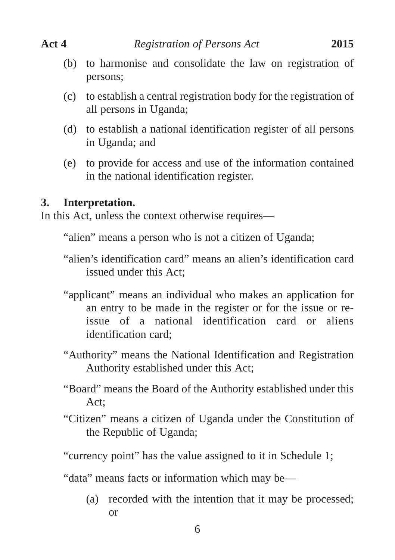- (b) to harmonise and consolidate the law on registration of persons;
- (c) to establish a central registration body for the registration of all persons in Uganda;
- (d) to establish a national identification register of all persons in Uganda; and
- (e) to provide for access and use of the information contained in the national identification register.

#### **3. Interpretation.**

In this Act, unless the context otherwise requires—

- "alien" means a person who is not a citizen of Uganda;
- "alien's identification card" means an alien's identification card issued under this Act;
- "applicant" means an individual who makes an application for an entry to be made in the register or for the issue or reissue of a national identification card or aliens identification card;
- "Authority" means the National Identification and Registration Authority established under this Act;
- "Board" means the Board of the Authority established under this Act;
- "Citizen" means a citizen of Uganda under the Constitution of the Republic of Uganda;

"currency point" has the value assigned to it in Schedule 1;

- "data" means facts or information which may be—
	- (a) recorded with the intention that it may be processed; or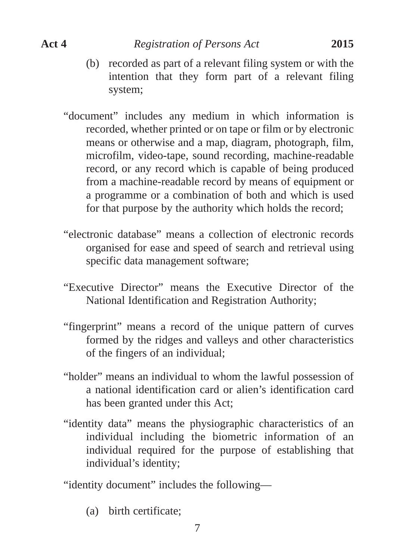- (b) recorded as part of a relevant filing system or with the intention that they form part of a relevant filing system;
- "document" includes any medium in which information is recorded, whether printed or on tape or film or by electronic means or otherwise and a map, diagram, photograph, film, microfilm, video-tape, sound recording, machine-readable record, or any record which is capable of being produced from a machine-readable record by means of equipment or a programme or a combination of both and which is used for that purpose by the authority which holds the record;
- "electronic database" means a collection of electronic records organised for ease and speed of search and retrieval using specific data management software;
- "Executive Director" means the Executive Director of the National Identification and Registration Authority;
- "fingerprint" means a record of the unique pattern of curves formed by the ridges and valleys and other characteristics of the fingers of an individual;
- "holder" means an individual to whom the lawful possession of a national identification card or alien's identification card has been granted under this Act;
- "identity data" means the physiographic characteristics of an individual including the biometric information of an individual required for the purpose of establishing that individual's identity;

"identity document" includes the following—

(a) birth certificate;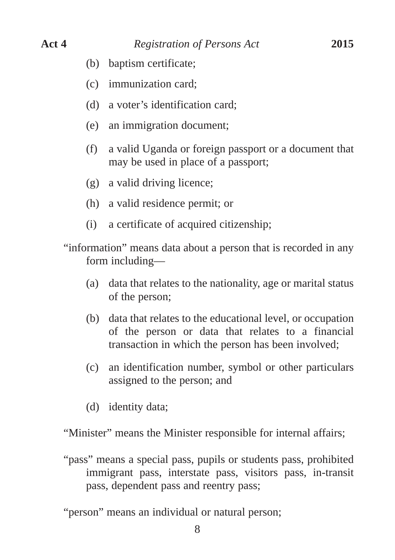- (b) baptism certificate;
- (c) immunization card;
- (d) a voter's identification card;
- (e) an immigration document;
- (f) a valid Uganda or foreign passport or a document that may be used in place of a passport;
- (g) a valid driving licence;
- (h) a valid residence permit; or
- (i) a certificate of acquired citizenship;
- "information" means data about a person that is recorded in any form including—
	- (a) data that relates to the nationality, age or marital status of the person;
	- (b) data that relates to the educational level, or occupation of the person or data that relates to a financial transaction in which the person has been involved;
	- (c) an identification number, symbol or other particulars assigned to the person; and
	- (d) identity data;

"Minister" means the Minister responsible for internal affairs;

"pass" means a special pass, pupils or students pass, prohibited immigrant pass, interstate pass, visitors pass, in-transit pass, dependent pass and reentry pass;

"person" means an individual or natural person;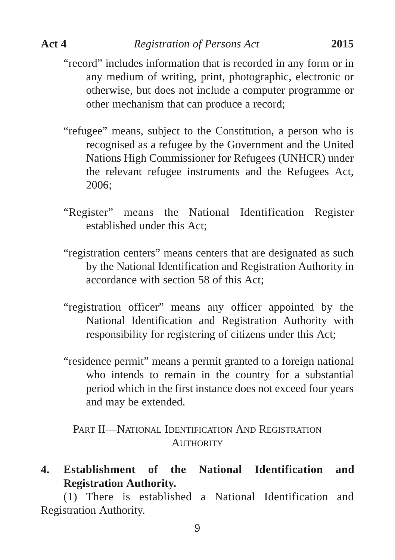- "record" includes information that is recorded in any form or in any medium of writing, print, photographic, electronic or otherwise, but does not include a computer programme or other mechanism that can produce a record;
- "refugee" means, subject to the Constitution, a person who is recognised as a refugee by the Government and the United Nations High Commissioner for Refugees (UNHCR) under the relevant refugee instruments and the Refugees Act, 2006;
- "Register" means the National Identification Register established under this Act;
- "registration centers" means centers that are designated as such by the National Identification and Registration Authority in accordance with section 58 of this Act;
- "registration officer" means any officer appointed by the National Identification and Registration Authority with responsibility for registering of citizens under this Act;
- "residence permit" means a permit granted to a foreign national who intends to remain in the country for a substantial period which in the first instance does not exceed four years and may be extended.

PART II—NATIONAL IDENTIFICATION AND REGISTRATION **AUTHORITY** 

# **4. Establishment of the National Identification and Registration Authority.**

(1) There is established a National Identification and Registration Authority.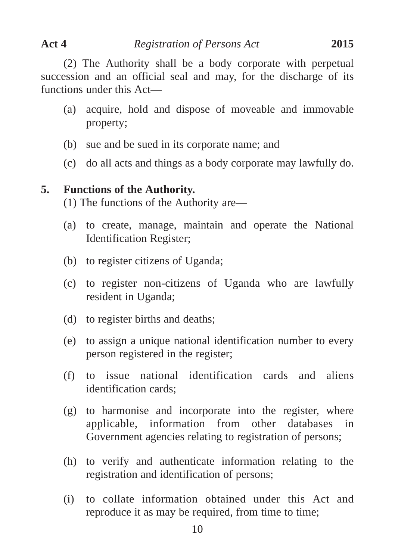(2) The Authority shall be a body corporate with perpetual succession and an official seal and may, for the discharge of its functions under this Act—

- (a) acquire, hold and dispose of moveable and immovable property;
- (b) sue and be sued in its corporate name; and
- (c) do all acts and things as a body corporate may lawfully do.

#### **5. Functions of the Authority.**

(1) The functions of the Authority are—

- (a) to create, manage, maintain and operate the National Identification Register;
- (b) to register citizens of Uganda;
- (c) to register non-citizens of Uganda who are lawfully resident in Uganda;
- (d) to register births and deaths;
- (e) to assign a unique national identification number to every person registered in the register;
- (f) to issue national identification cards and aliens identification cards;
- (g) to harmonise and incorporate into the register, where applicable, information from other databases in Government agencies relating to registration of persons;
- (h) to verify and authenticate information relating to the registration and identification of persons;
- (i) to collate information obtained under this Act and reproduce it as may be required, from time to time;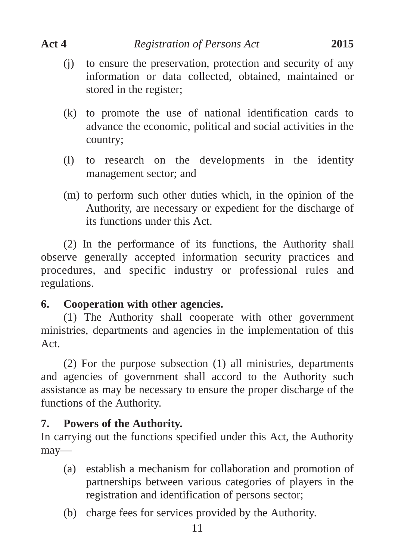- (j) to ensure the preservation, protection and security of any information or data collected, obtained, maintained or stored in the register;
- (k) to promote the use of national identification cards to advance the economic, political and social activities in the country;
- (l) to research on the developments in the identity management sector; and
- (m) to perform such other duties which, in the opinion of the Authority, are necessary or expedient for the discharge of its functions under this Act.

(2) In the performance of its functions, the Authority shall observe generally accepted information security practices and procedures, and specific industry or professional rules and regulations.

# **6. Cooperation with other agencies.**

(1) The Authority shall cooperate with other government ministries, departments and agencies in the implementation of this A<sub>ct</sub>

(2) For the purpose subsection (1) all ministries, departments and agencies of government shall accord to the Authority such assistance as may be necessary to ensure the proper discharge of the functions of the Authority.

# **7. Powers of the Authority.**

In carrying out the functions specified under this Act, the Authority may—

- (a) establish a mechanism for collaboration and promotion of partnerships between various categories of players in the registration and identification of persons sector;
- (b) charge fees for services provided by the Authority.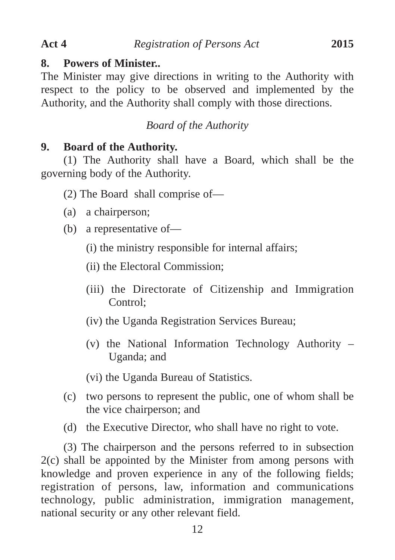#### **8. Powers of Minister..**

The Minister may give directions in writing to the Authority with respect to the policy to be observed and implemented by the Authority, and the Authority shall comply with those directions.

# *Board of the Authority*

# **9. Board of the Authority.**

(1) The Authority shall have a Board, which shall be the governing body of the Authority.

(2) The Board shall comprise of—

- (a) a chairperson;
- (b) a representative of—
	- (i) the ministry responsible for internal affairs;

(ii) the Electoral Commission;

- (iii) the Directorate of Citizenship and Immigration Control;
- (iv) the Uganda Registration Services Bureau;
- (v) the National Information Technology Authority Uganda; and

(vi) the Uganda Bureau of Statistics.

- (c) two persons to represent the public, one of whom shall be the vice chairperson; and
- (d) the Executive Director, who shall have no right to vote.

(3) The chairperson and the persons referred to in subsection 2(c) shall be appointed by the Minister from among persons with knowledge and proven experience in any of the following fields; registration of persons, law, information and communications technology, public administration, immigration management, national security or any other relevant field.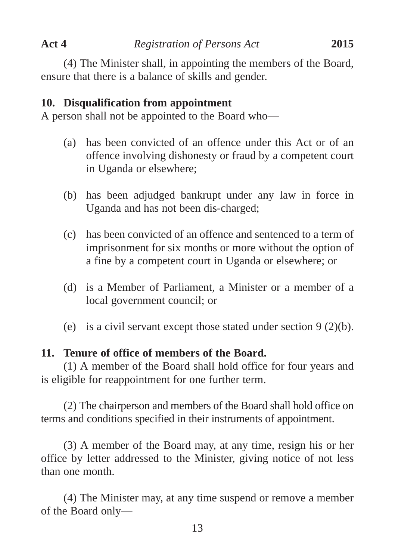(4) The Minister shall, in appointing the members of the Board, ensure that there is a balance of skills and gender.

#### **10. Disqualification from appointment**

A person shall not be appointed to the Board who—

- (a) has been convicted of an offence under this Act or of an offence involving dishonesty or fraud by a competent court in Uganda or elsewhere;
- (b) has been adjudged bankrupt under any law in force in Uganda and has not been dis-charged;
- (c) has been convicted of an offence and sentenced to a term of imprisonment for six months or more without the option of a fine by a competent court in Uganda or elsewhere; or
- (d) is a Member of Parliament, a Minister or a member of a local government council; or
- (e) is a civil servant except those stated under section 9 (2)(b).

#### **11. Tenure of office of members of the Board.**

(1) A member of the Board shall hold office for four years and is eligible for reappointment for one further term.

(2) The chairperson and members of the Board shall hold office on terms and conditions specified in their instruments of appointment.

(3) A member of the Board may, at any time, resign his or her office by letter addressed to the Minister, giving notice of not less than one month.

(4) The Minister may, at any time suspend or remove a member of the Board only—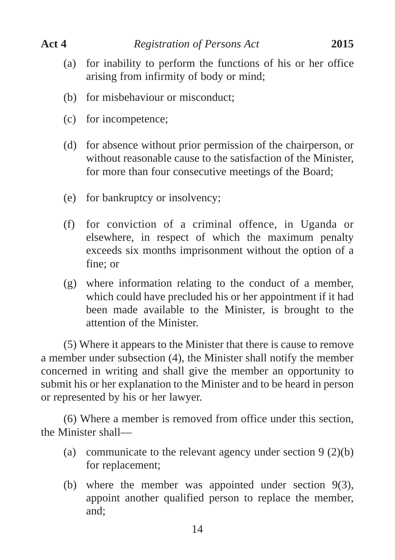- (a) for inability to perform the functions of his or her office arising from infirmity of body or mind;
- (b) for misbehaviour or misconduct;
- (c) for incompetence;
- (d) for absence without prior permission of the chairperson, or without reasonable cause to the satisfaction of the Minister, for more than four consecutive meetings of the Board;
- (e) for bankruptcy or insolvency;
- (f) for conviction of a criminal offence, in Uganda or elsewhere, in respect of which the maximum penalty exceeds six months imprisonment without the option of a fine; or
- (g) where information relating to the conduct of a member, which could have precluded his or her appointment if it had been made available to the Minister, is brought to the attention of the Minister.

(5) Where it appears to the Minister that there is cause to remove a member under subsection (4), the Minister shall notify the member concerned in writing and shall give the member an opportunity to submit his or her explanation to the Minister and to be heard in person or represented by his or her lawyer.

(6) Where a member is removed from office under this section, the Minister shall—

- (a) communicate to the relevant agency under section  $9(2)(b)$ for replacement;
- (b) where the member was appointed under section 9(3), appoint another qualified person to replace the member, and;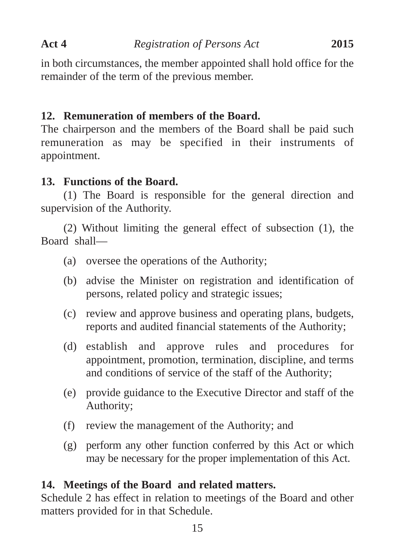in both circumstances, the member appointed shall hold office for the remainder of the term of the previous member.

# **12. Remuneration of members of the Board.**

The chairperson and the members of the Board shall be paid such remuneration as may be specified in their instruments of appointment.

# **13. Functions of the Board.**

(1) The Board is responsible for the general direction and supervision of the Authority.

(2) Without limiting the general effect of subsection (1), the Board shall—

- (a) oversee the operations of the Authority;
- (b) advise the Minister on registration and identification of persons, related policy and strategic issues;
- (c) review and approve business and operating plans, budgets, reports and audited financial statements of the Authority;
- (d) establish and approve rules and procedures for appointment, promotion, termination, discipline, and terms and conditions of service of the staff of the Authority;
- (e) provide guidance to the Executive Director and staff of the Authority;
- (f) review the management of the Authority; and
- (g) perform any other function conferred by this Act or which may be necessary for the proper implementation of this Act.

# **14. Meetings of the Board and related matters.**

Schedule 2 has effect in relation to meetings of the Board and other matters provided for in that Schedule.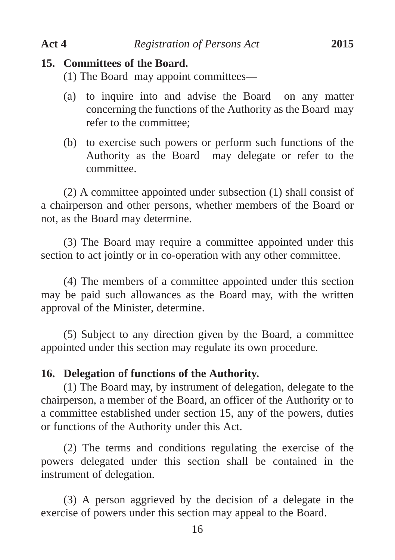#### **15. Committees of the Board.**

(1) The Board may appoint committees—

- (a) to inquire into and advise the Board on any matter concerning the functions of the Authority as the Board may refer to the committee;
- (b) to exercise such powers or perform such functions of the Authority as the Board may delegate or refer to the committee.

(2) A committee appointed under subsection (1) shall consist of a chairperson and other persons, whether members of the Board or not, as the Board may determine.

(3) The Board may require a committee appointed under this section to act jointly or in co-operation with any other committee.

(4) The members of a committee appointed under this section may be paid such allowances as the Board may, with the written approval of the Minister, determine.

(5) Subject to any direction given by the Board, a committee appointed under this section may regulate its own procedure.

#### **16. Delegation of functions of the Authority.**

(1) The Board may, by instrument of delegation, delegate to the chairperson, a member of the Board, an officer of the Authority or to a committee established under section 15, any of the powers, duties or functions of the Authority under this Act.

(2) The terms and conditions regulating the exercise of the powers delegated under this section shall be contained in the instrument of delegation.

(3) A person aggrieved by the decision of a delegate in the exercise of powers under this section may appeal to the Board.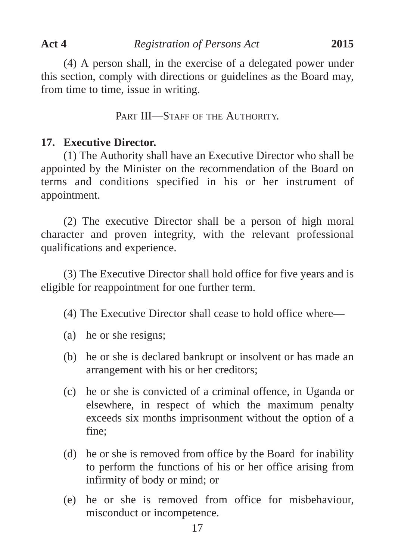(4) A person shall, in the exercise of a delegated power under this section, comply with directions or guidelines as the Board may, from time to time, issue in writing.

PART III—STAFF OF THE AUTHORITY.

#### **17. Executive Director.**

(1) The Authority shall have an Executive Director who shall be appointed by the Minister on the recommendation of the Board on terms and conditions specified in his or her instrument of appointment.

(2) The executive Director shall be a person of high moral character and proven integrity, with the relevant professional qualifications and experience.

(3) The Executive Director shall hold office for five years and is eligible for reappointment for one further term.

(4) The Executive Director shall cease to hold office where—

- (a) he or she resigns;
- (b) he or she is declared bankrupt or insolvent or has made an arrangement with his or her creditors;
- (c) he or she is convicted of a criminal offence, in Uganda or elsewhere, in respect of which the maximum penalty exceeds six months imprisonment without the option of a fine;
- (d) he or she is removed from office by the Board for inability to perform the functions of his or her office arising from infirmity of body or mind; or
- (e) he or she is removed from office for misbehaviour, misconduct or incompetence.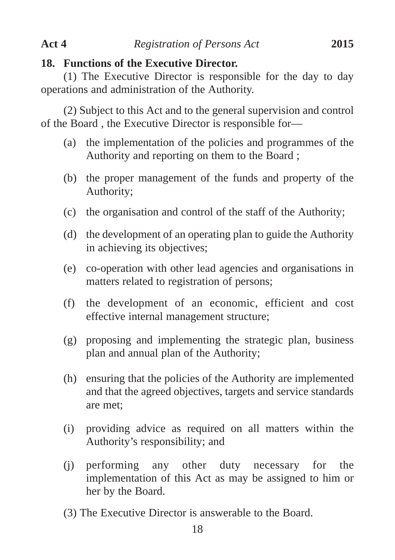#### **18. Functions of the Executive Director.**

(1) The Executive Director is responsible for the day to day operations and administration of the Authority.

(2) Subject to this Act and to the general supervision and control of the Board , the Executive Director is responsible for—

- (a) the implementation of the policies and programmes of the Authority and reporting on them to the Board ;
- (b) the proper management of the funds and property of the Authority;
- (c) the organisation and control of the staff of the Authority;
- (d) the development of an operating plan to guide the Authority in achieving its objectives;
- (e) co-operation with other lead agencies and organisations in matters related to registration of persons;
- (f) the development of an economic, efficient and cost effective internal management structure;
- (g) proposing and implementing the strategic plan, business plan and annual plan of the Authority;
- (h) ensuring that the policies of the Authority are implemented and that the agreed objectives, targets and service standards are met;
- (i) providing advice as required on all matters within the Authority's responsibility; and
- (j) performing any other duty necessary for the implementation of this Act as may be assigned to him or her by the Board.
- (3) The Executive Director is answerable to the Board.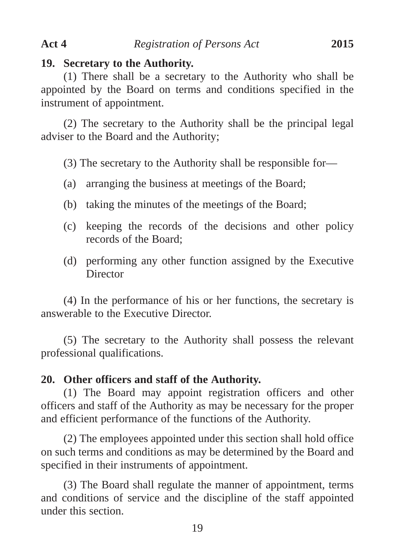#### **19. Secretary to the Authority.**

(1) There shall be a secretary to the Authority who shall be appointed by the Board on terms and conditions specified in the instrument of appointment.

(2) The secretary to the Authority shall be the principal legal adviser to the Board and the Authority;

(3) The secretary to the Authority shall be responsible for—

- (a) arranging the business at meetings of the Board;
- (b) taking the minutes of the meetings of the Board;
- (c) keeping the records of the decisions and other policy records of the Board;
- (d) performing any other function assigned by the Executive **Director**

(4) In the performance of his or her functions, the secretary is answerable to the Executive Director.

(5) The secretary to the Authority shall possess the relevant professional qualifications.

#### **20. Other officers and staff of the Authority.**

(1) The Board may appoint registration officers and other officers and staff of the Authority as may be necessary for the proper and efficient performance of the functions of the Authority.

(2) The employees appointed under this section shall hold office on such terms and conditions as may be determined by the Board and specified in their instruments of appointment.

(3) The Board shall regulate the manner of appointment, terms and conditions of service and the discipline of the staff appointed under this section.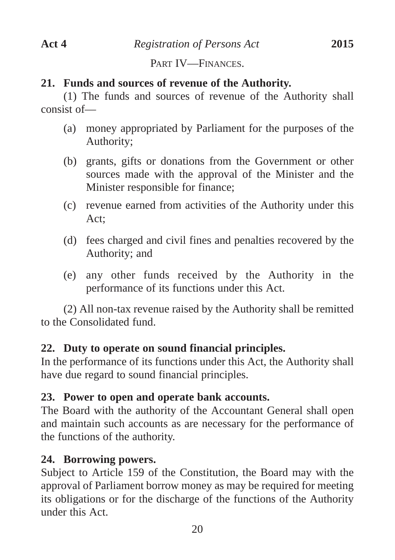PART IV—FINANCES

# **21. Funds and sources of revenue of the Authority.**

(1) The funds and sources of revenue of the Authority shall consist of—

- (a) money appropriated by Parliament for the purposes of the Authority;
- (b) grants, gifts or donations from the Government or other sources made with the approval of the Minister and the Minister responsible for finance;
- (c) revenue earned from activities of the Authority under this Act;
- (d) fees charged and civil fines and penalties recovered by the Authority; and
- (e) any other funds received by the Authority in the performance of its functions under this Act.

(2) All non-tax revenue raised by the Authority shall be remitted to the Consolidated fund.

# **22. Duty to operate on sound financial principles.**

In the performance of its functions under this Act, the Authority shall have due regard to sound financial principles.

# **23. Power to open and operate bank accounts.**

The Board with the authority of the Accountant General shall open and maintain such accounts as are necessary for the performance of the functions of the authority.

# **24. Borrowing powers.**

Subject to Article 159 of the Constitution, the Board may with the approval of Parliament borrow money as may be required for meeting its obligations or for the discharge of the functions of the Authority under this Act.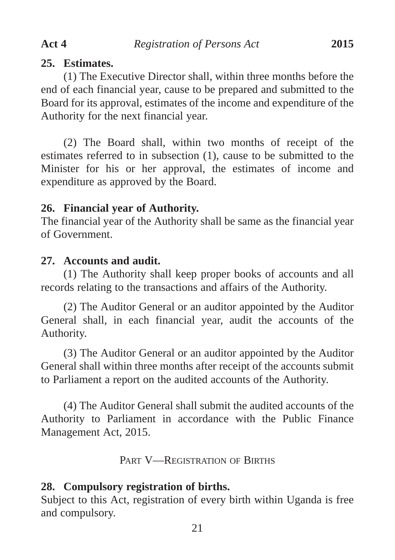#### **25. Estimates.**

(1) The Executive Director shall, within three months before the end of each financial year, cause to be prepared and submitted to the Board for its approval, estimates of the income and expenditure of the Authority for the next financial year.

(2) The Board shall, within two months of receipt of the estimates referred to in subsection (1), cause to be submitted to the Minister for his or her approval, the estimates of income and expenditure as approved by the Board.

#### **26. Financial year of Authority.**

The financial year of the Authority shall be same as the financial year of Government.

#### **27. Accounts and audit.**

(1) The Authority shall keep proper books of accounts and all records relating to the transactions and affairs of the Authority.

(2) The Auditor General or an auditor appointed by the Auditor General shall, in each financial year, audit the accounts of the Authority.

(3) The Auditor General or an auditor appointed by the Auditor General shall within three months after receipt of the accounts submit to Parliament a report on the audited accounts of the Authority.

(4) The Auditor General shall submit the audited accounts of the Authority to Parliament in accordance with the Public Finance Management Act, 2015.

PART V—REGISTRATION OF BIRTHS

#### **28. Compulsory registration of births.**

Subject to this Act, registration of every birth within Uganda is free and compulsory.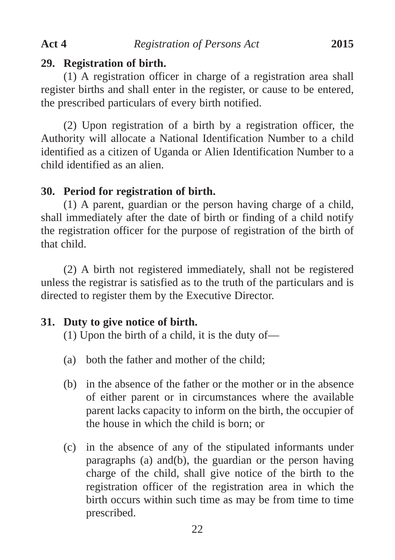(1) A registration officer in charge of a registration area shall register births and shall enter in the register, or cause to be entered, the prescribed particulars of every birth notified.

(2) Upon registration of a birth by a registration officer, the Authority will allocate a National Identification Number to a child identified as a citizen of Uganda or Alien Identification Number to a child identified as an alien.

# **30. Period for registration of birth.**

(1) A parent, guardian or the person having charge of a child, shall immediately after the date of birth or finding of a child notify the registration officer for the purpose of registration of the birth of that child.

(2) A birth not registered immediately, shall not be registered unless the registrar is satisfied as to the truth of the particulars and is directed to register them by the Executive Director.

# **31. Duty to give notice of birth.**

(1) Upon the birth of a child, it is the duty of—

- (a) both the father and mother of the child;
- (b) in the absence of the father or the mother or in the absence of either parent or in circumstances where the available parent lacks capacity to inform on the birth, the occupier of the house in which the child is born; or
- (c) in the absence of any of the stipulated informants under paragraphs (a) and(b), the guardian or the person having charge of the child, shall give notice of the birth to the registration officer of the registration area in which the birth occurs within such time as may be from time to time prescribed.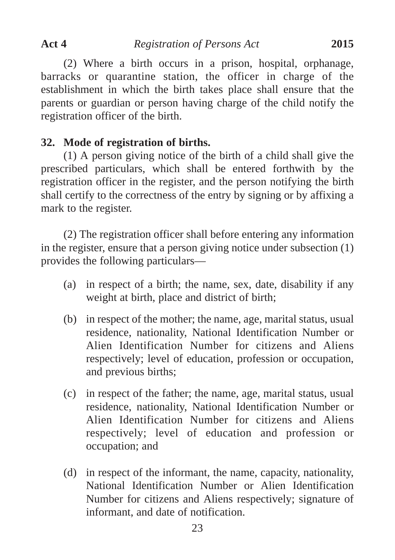(2) Where a birth occurs in a prison, hospital, orphanage, barracks or quarantine station, the officer in charge of the establishment in which the birth takes place shall ensure that the parents or guardian or person having charge of the child notify the registration officer of the birth.

# **32. Mode of registration of births.**

(1) A person giving notice of the birth of a child shall give the prescribed particulars, which shall be entered forthwith by the registration officer in the register, and the person notifying the birth shall certify to the correctness of the entry by signing or by affixing a mark to the register.

(2) The registration officer shall before entering any information in the register, ensure that a person giving notice under subsection (1) provides the following particulars—

- (a) in respect of a birth; the name, sex, date, disability if any weight at birth, place and district of birth;
- (b) in respect of the mother; the name, age, marital status, usual residence, nationality, National Identification Number or Alien Identification Number for citizens and Aliens respectively; level of education, profession or occupation, and previous births;
- (c) in respect of the father; the name, age, marital status, usual residence, nationality, National Identification Number or Alien Identification Number for citizens and Aliens respectively; level of education and profession or occupation; and
- (d) in respect of the informant, the name, capacity, nationality, National Identification Number or Alien Identification Number for citizens and Aliens respectively; signature of informant, and date of notification.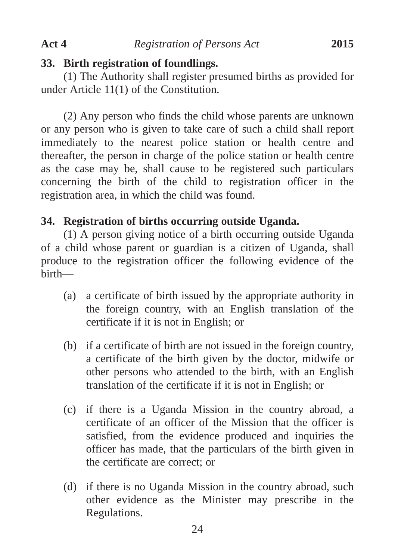#### **33. Birth registration of foundlings.**

(1) The Authority shall register presumed births as provided for under Article 11(1) of the Constitution.

(2) Any person who finds the child whose parents are unknown or any person who is given to take care of such a child shall report immediately to the nearest police station or health centre and thereafter, the person in charge of the police station or health centre as the case may be, shall cause to be registered such particulars concerning the birth of the child to registration officer in the registration area, in which the child was found.

# **34. Registration of births occurring outside Uganda.**

(1) A person giving notice of a birth occurring outside Uganda of a child whose parent or guardian is a citizen of Uganda, shall produce to the registration officer the following evidence of the birth—

- (a) a certificate of birth issued by the appropriate authority in the foreign country, with an English translation of the certificate if it is not in English; or
- (b) if a certificate of birth are not issued in the foreign country, a certificate of the birth given by the doctor, midwife or other persons who attended to the birth, with an English translation of the certificate if it is not in English; or
- (c) if there is a Uganda Mission in the country abroad, a certificate of an officer of the Mission that the officer is satisfied, from the evidence produced and inquiries the officer has made, that the particulars of the birth given in the certificate are correct; or
- (d) if there is no Uganda Mission in the country abroad, such other evidence as the Minister may prescribe in the Regulations.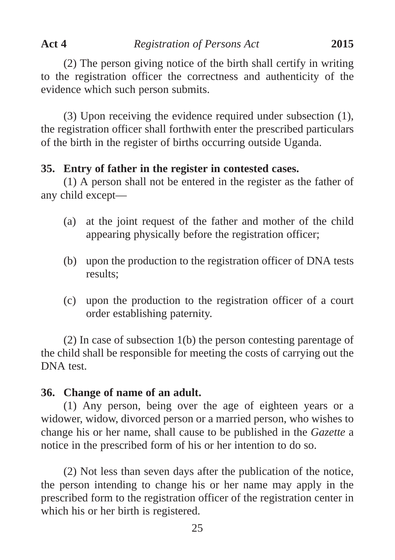(2) The person giving notice of the birth shall certify in writing to the registration officer the correctness and authenticity of the evidence which such person submits.

(3) Upon receiving the evidence required under subsection (1), the registration officer shall forthwith enter the prescribed particulars of the birth in the register of births occurring outside Uganda.

#### **35. Entry of father in the register in contested cases.**

(1) A person shall not be entered in the register as the father of any child except—

- (a) at the joint request of the father and mother of the child appearing physically before the registration officer;
- (b) upon the production to the registration officer of DNA tests results;
- (c) upon the production to the registration officer of a court order establishing paternity.

(2) In case of subsection 1(b) the person contesting parentage of the child shall be responsible for meeting the costs of carrying out the DNA test.

#### **36. Change of name of an adult.**

(1) Any person, being over the age of eighteen years or a widower, widow, divorced person or a married person, who wishes to change his or her name, shall cause to be published in the *Gazette* a notice in the prescribed form of his or her intention to do so.

(2) Not less than seven days after the publication of the notice, the person intending to change his or her name may apply in the prescribed form to the registration officer of the registration center in which his or her birth is registered.

25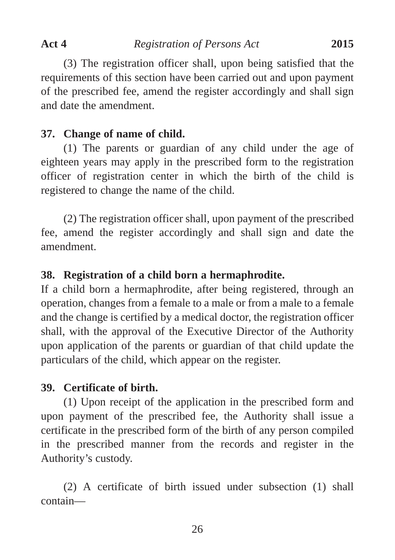(3) The registration officer shall, upon being satisfied that the requirements of this section have been carried out and upon payment of the prescribed fee, amend the register accordingly and shall sign and date the amendment.

# **37. Change of name of child.**

(1) The parents or guardian of any child under the age of eighteen years may apply in the prescribed form to the registration officer of registration center in which the birth of the child is registered to change the name of the child.

(2) The registration officer shall, upon payment of the prescribed fee, amend the register accordingly and shall sign and date the amendment.

# **38. Registration of a child born a hermaphrodite.**

If a child born a hermaphrodite, after being registered, through an operation, changes from a female to a male or from a male to a female and the change is certified by a medical doctor, the registration officer shall, with the approval of the Executive Director of the Authority upon application of the parents or guardian of that child update the particulars of the child, which appear on the register.

# **39. Certificate of birth.**

(1) Upon receipt of the application in the prescribed form and upon payment of the prescribed fee, the Authority shall issue a certificate in the prescribed form of the birth of any person compiled in the prescribed manner from the records and register in the Authority's custody.

(2) A certificate of birth issued under subsection (1) shall contain—

26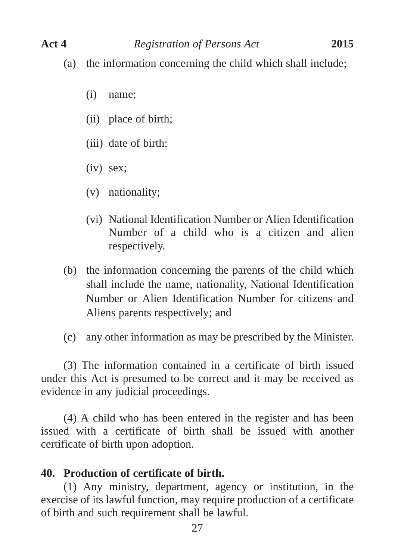- (a) the information concerning the child which shall include;
	- (i) name;
	- (ii) place of birth;
	- (iii) date of birth;
	- (iv) sex;
	- (v) nationality;
	- (vi) National Identification Number or Alien Identification Number of a child who is a citizen and alien respectively.
- (b) the information concerning the parents of the child which shall include the name, nationality, National Identification Number or Alien Identification Number for citizens and Aliens parents respectively; and
- (c) any other information as may be prescribed by the Minister.

(3) The information contained in a certificate of birth issued under this Act is presumed to be correct and it may be received as evidence in any judicial proceedings.

(4) A child who has been entered in the register and has been issued with a certificate of birth shall be issued with another certificate of birth upon adoption.

#### **40. Production of certificate of birth.**

(1) Any ministry, department, agency or institution, in the exercise of its lawful function, may require production of a certificate of birth and such requirement shall be lawful.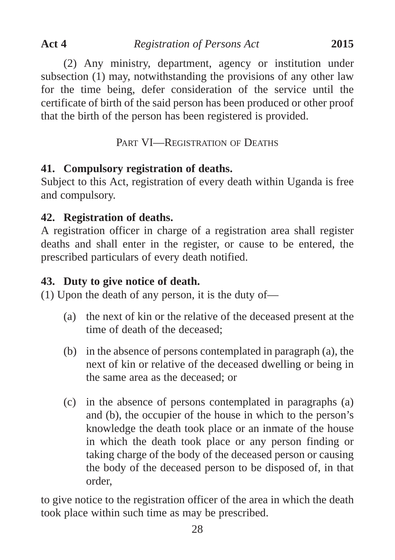(2) Any ministry, department, agency or institution under subsection (1) may, notwithstanding the provisions of any other law for the time being, defer consideration of the service until the certificate of birth of the said person has been produced or other proof that the birth of the person has been registered is provided.

PART VI—REGISTRATION OF DEATHS

# **41. Compulsory registration of deaths.**

Subject to this Act, registration of every death within Uganda is free and compulsory.

# **42. Registration of deaths.**

A registration officer in charge of a registration area shall register deaths and shall enter in the register, or cause to be entered, the prescribed particulars of every death notified.

# **43. Duty to give notice of death.**

(1) Upon the death of any person, it is the duty of—

- (a) the next of kin or the relative of the deceased present at the time of death of the deceased;
- (b) in the absence of persons contemplated in paragraph (a), the next of kin or relative of the deceased dwelling or being in the same area as the deceased; or
- (c) in the absence of persons contemplated in paragraphs (a) and (b), the occupier of the house in which to the person's knowledge the death took place or an inmate of the house in which the death took place or any person finding or taking charge of the body of the deceased person or causing the body of the deceased person to be disposed of, in that order,

to give notice to the registration officer of the area in which the death took place within such time as may be prescribed.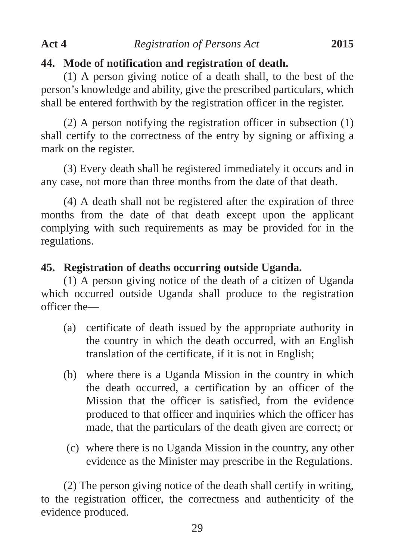#### **44. Mode of notification and registration of death.**

(1) A person giving notice of a death shall, to the best of the person's knowledge and ability, give the prescribed particulars, which shall be entered forthwith by the registration officer in the register.

(2) A person notifying the registration officer in subsection (1) shall certify to the correctness of the entry by signing or affixing a mark on the register.

(3) Every death shall be registered immediately it occurs and in any case, not more than three months from the date of that death.

(4) A death shall not be registered after the expiration of three months from the date of that death except upon the applicant complying with such requirements as may be provided for in the regulations.

# **45. Registration of deaths occurring outside Uganda.**

(1) A person giving notice of the death of a citizen of Uganda which occurred outside Uganda shall produce to the registration officer the—

- (a) certificate of death issued by the appropriate authority in the country in which the death occurred, with an English translation of the certificate, if it is not in English;
- (b) where there is a Uganda Mission in the country in which the death occurred, a certification by an officer of the Mission that the officer is satisfied, from the evidence produced to that officer and inquiries which the officer has made, that the particulars of the death given are correct; or
- (c) where there is no Uganda Mission in the country, any other evidence as the Minister may prescribe in the Regulations.

(2) The person giving notice of the death shall certify in writing, to the registration officer, the correctness and authenticity of the evidence produced.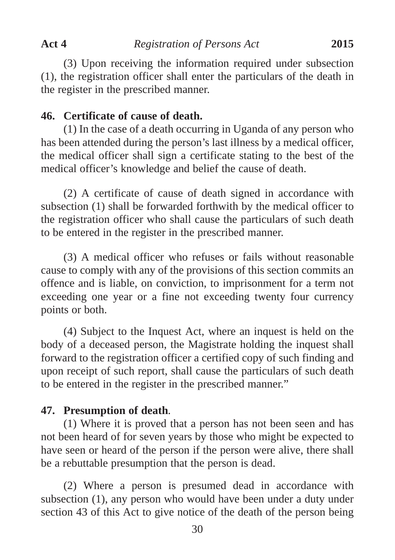(3) Upon receiving the information required under subsection (1), the registration officer shall enter the particulars of the death in the register in the prescribed manner.

#### **46. Certificate of cause of death.**

(1) In the case of a death occurring in Uganda of any person who has been attended during the person's last illness by a medical officer, the medical officer shall sign a certificate stating to the best of the medical officer's knowledge and belief the cause of death.

(2) A certificate of cause of death signed in accordance with subsection (1) shall be forwarded forthwith by the medical officer to the registration officer who shall cause the particulars of such death to be entered in the register in the prescribed manner.

(3) A medical officer who refuses or fails without reasonable cause to comply with any of the provisions of this section commits an offence and is liable, on conviction, to imprisonment for a term not exceeding one year or a fine not exceeding twenty four currency points or both.

(4) Subject to the Inquest Act, where an inquest is held on the body of a deceased person, the Magistrate holding the inquest shall forward to the registration officer a certified copy of such finding and upon receipt of such report, shall cause the particulars of such death to be entered in the register in the prescribed manner."

#### **47. Presumption of death**.

(1) Where it is proved that a person has not been seen and has not been heard of for seven years by those who might be expected to have seen or heard of the person if the person were alive, there shall be a rebuttable presumption that the person is dead.

(2) Where a person is presumed dead in accordance with subsection (1), any person who would have been under a duty under section 43 of this Act to give notice of the death of the person being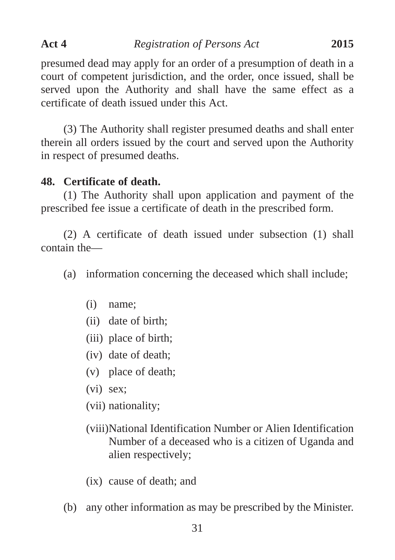presumed dead may apply for an order of a presumption of death in a court of competent jurisdiction, and the order, once issued, shall be served upon the Authority and shall have the same effect as a certificate of death issued under this Act.

(3) The Authority shall register presumed deaths and shall enter therein all orders issued by the court and served upon the Authority in respect of presumed deaths.

# **48. Certificate of death.**

(1) The Authority shall upon application and payment of the prescribed fee issue a certificate of death in the prescribed form.

(2) A certificate of death issued under subsection (1) shall contain the—

- (a) information concerning the deceased which shall include;
	- (i) name;
	- (ii) date of birth;
	- (iii) place of birth;
	- (iv) date of death;
	- (v) place of death;
	- (vi) sex;
	- (vii) nationality;
	- (viii)National Identification Number or Alien Identification Number of a deceased who is a citizen of Uganda and alien respectively;
	- (ix) cause of death; and
- (b) any other information as may be prescribed by the Minister.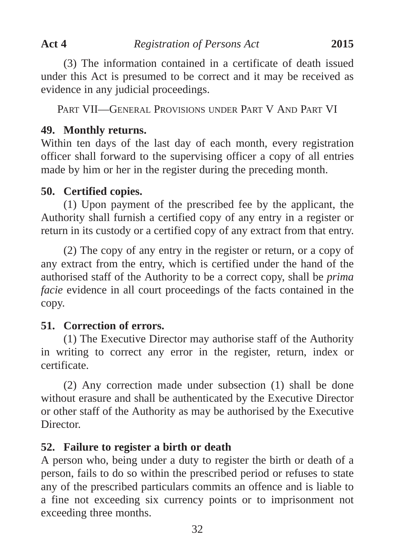(3) The information contained in a certificate of death issued under this Act is presumed to be correct and it may be received as evidence in any judicial proceedings.

PART VII—GENERAL PROVISIONS UNDER PART V AND PART VI

#### **49. Monthly returns.**

Within ten days of the last day of each month, every registration officer shall forward to the supervising officer a copy of all entries made by him or her in the register during the preceding month.

#### **50. Certified copies.**

(1) Upon payment of the prescribed fee by the applicant, the Authority shall furnish a certified copy of any entry in a register or return in its custody or a certified copy of any extract from that entry.

(2) The copy of any entry in the register or return, or a copy of any extract from the entry, which is certified under the hand of the authorised staff of the Authority to be a correct copy, shall be *prima facie* evidence in all court proceedings of the facts contained in the copy.

#### **51. Correction of errors.**

(1) The Executive Director may authorise staff of the Authority in writing to correct any error in the register, return, index or certificate.

(2) Any correction made under subsection (1) shall be done without erasure and shall be authenticated by the Executive Director or other staff of the Authority as may be authorised by the Executive Director.

# **52. Failure to register a birth or death**

A person who, being under a duty to register the birth or death of a person, fails to do so within the prescribed period or refuses to state any of the prescribed particulars commits an offence and is liable to a fine not exceeding six currency points or to imprisonment not exceeding three months.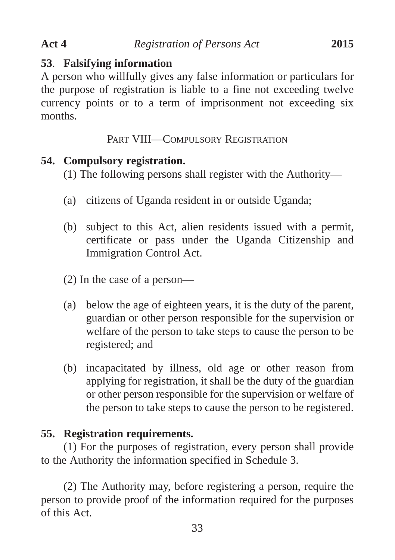# **53**. **Falsifying information**

A person who willfully gives any false information or particulars for the purpose of registration is liable to a fine not exceeding twelve currency points or to a term of imprisonment not exceeding six months.

PART VIII—COMPULSORY REGISTRATION

# **54. Compulsory registration.**

(1) The following persons shall register with the Authority—

- (a) citizens of Uganda resident in or outside Uganda;
- (b) subject to this Act, alien residents issued with a permit, certificate or pass under the Uganda Citizenship and Immigration Control Act.
- (2) In the case of a person—
- (a) below the age of eighteen years, it is the duty of the parent, guardian or other person responsible for the supervision or welfare of the person to take steps to cause the person to be registered; and
- (b) incapacitated by illness, old age or other reason from applying for registration, it shall be the duty of the guardian or other person responsible for the supervision or welfare of the person to take steps to cause the person to be registered.

# **55. Registration requirements.**

(1) For the purposes of registration, every person shall provide to the Authority the information specified in Schedule 3.

(2) The Authority may, before registering a person, require the person to provide proof of the information required for the purposes of this Act.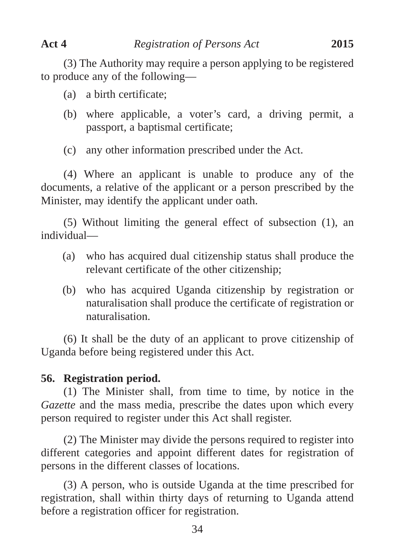(3) The Authority may require a person applying to be registered to produce any of the following—

- (a) a birth certificate;
- (b) where applicable, a voter's card, a driving permit, a passport, a baptismal certificate;
- (c) any other information prescribed under the Act.

(4) Where an applicant is unable to produce any of the documents, a relative of the applicant or a person prescribed by the Minister, may identify the applicant under oath.

(5) Without limiting the general effect of subsection (1), an individual—

- (a) who has acquired dual citizenship status shall produce the relevant certificate of the other citizenship;
- (b) who has acquired Uganda citizenship by registration or naturalisation shall produce the certificate of registration or naturalisation.

(6) It shall be the duty of an applicant to prove citizenship of Uganda before being registered under this Act.

# **56. Registration period.**

(1) The Minister shall, from time to time, by notice in the *Gazette* and the mass media, prescribe the dates upon which every person required to register under this Act shall register.

(2) The Minister may divide the persons required to register into different categories and appoint different dates for registration of persons in the different classes of locations.

(3) A person, who is outside Uganda at the time prescribed for registration, shall within thirty days of returning to Uganda attend before a registration officer for registration.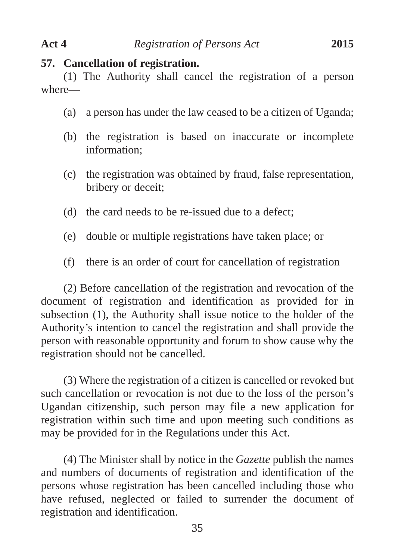#### **57. Cancellation of registration.**

(1) The Authority shall cancel the registration of a person where—

- (a) a person has under the law ceased to be a citizen of Uganda;
- (b) the registration is based on inaccurate or incomplete information;
- (c) the registration was obtained by fraud, false representation, bribery or deceit;
- (d) the card needs to be re-issued due to a defect;
- (e) double or multiple registrations have taken place; or
- (f) there is an order of court for cancellation of registration

(2) Before cancellation of the registration and revocation of the document of registration and identification as provided for in subsection (1), the Authority shall issue notice to the holder of the Authority's intention to cancel the registration and shall provide the person with reasonable opportunity and forum to show cause why the registration should not be cancelled.

(3) Where the registration of a citizen is cancelled or revoked but such cancellation or revocation is not due to the loss of the person's Ugandan citizenship, such person may file a new application for registration within such time and upon meeting such conditions as may be provided for in the Regulations under this Act.

(4) The Minister shall by notice in the *Gazette* publish the names and numbers of documents of registration and identification of the persons whose registration has been cancelled including those who have refused, neglected or failed to surrender the document of registration and identification.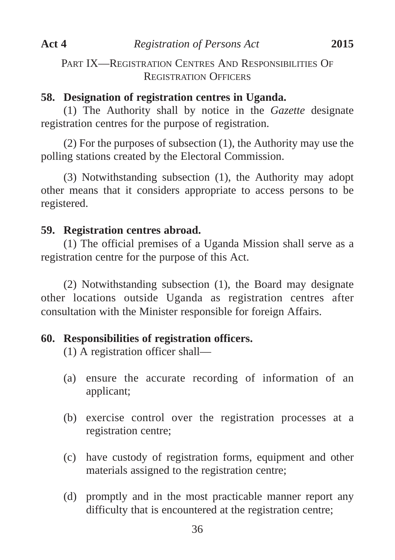PART IX—REGISTRATION CENTRES AND RESPONSIBILITIES OF REGISTRATION OFFICERS

#### **58. Designation of registration centres in Uganda.**

(1) The Authority shall by notice in the *Gazette* designate registration centres for the purpose of registration.

(2) For the purposes of subsection (1), the Authority may use the polling stations created by the Electoral Commission.

(3) Notwithstanding subsection (1), the Authority may adopt other means that it considers appropriate to access persons to be registered.

# **59. Registration centres abroad.**

(1) The official premises of a Uganda Mission shall serve as a registration centre for the purpose of this Act.

(2) Notwithstanding subsection (1), the Board may designate other locations outside Uganda as registration centres after consultation with the Minister responsible for foreign Affairs.

# **60. Responsibilities of registration officers.**

(1) A registration officer shall—

- (a) ensure the accurate recording of information of an applicant;
- (b) exercise control over the registration processes at a registration centre;
- (c) have custody of registration forms, equipment and other materials assigned to the registration centre;
- (d) promptly and in the most practicable manner report any difficulty that is encountered at the registration centre;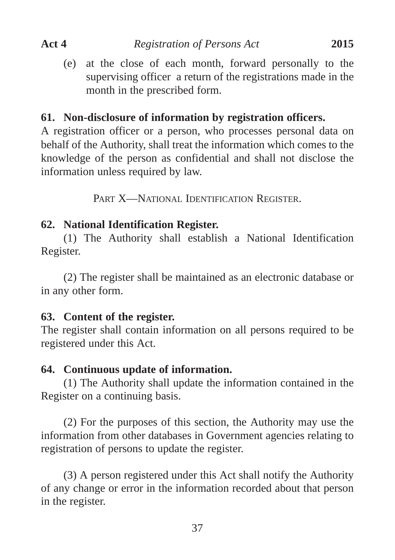(e) at the close of each month, forward personally to the supervising officer a return of the registrations made in the month in the prescribed form.

#### **61. Non-disclosure of information by registration officers.**

A registration officer or a person, who processes personal data on behalf of the Authority, shall treat the information which comes to the knowledge of the person as confidential and shall not disclose the information unless required by law.

PART X—NATIONAL IDENTIFICATION REGISTER.

#### **62. National Identification Register.**

(1) The Authority shall establish a National Identification Register.

(2) The register shall be maintained as an electronic database or in any other form.

#### **63. Content of the register.**

The register shall contain information on all persons required to be registered under this Act.

# **64. Continuous update of information.**

(1) The Authority shall update the information contained in the Register on a continuing basis.

(2) For the purposes of this section, the Authority may use the information from other databases in Government agencies relating to registration of persons to update the register.

(3) A person registered under this Act shall notify the Authority of any change or error in the information recorded about that person in the register.

37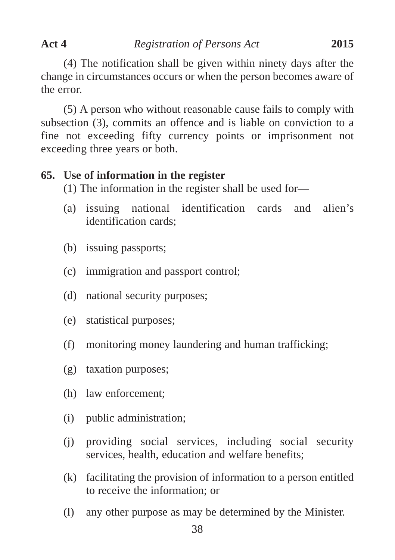the error.

(5) A person who without reasonable cause fails to comply with subsection (3), commits an offence and is liable on conviction to a fine not exceeding fifty currency points or imprisonment not exceeding three years or both.

# **65. Use of information in the register**

(1) The information in the register shall be used for—

- (a) issuing national identification cards and alien's identification cards;
- (b) issuing passports;
- (c) immigration and passport control;
- (d) national security purposes;
- (e) statistical purposes;
- (f) monitoring money laundering and human trafficking;
- (g) taxation purposes;
- (h) law enforcement;
- (i) public administration;
- (j) providing social services, including social security services, health, education and welfare benefits;
- (k) facilitating the provision of information to a person entitled to receive the information; or
- (l) any other purpose as may be determined by the Minister.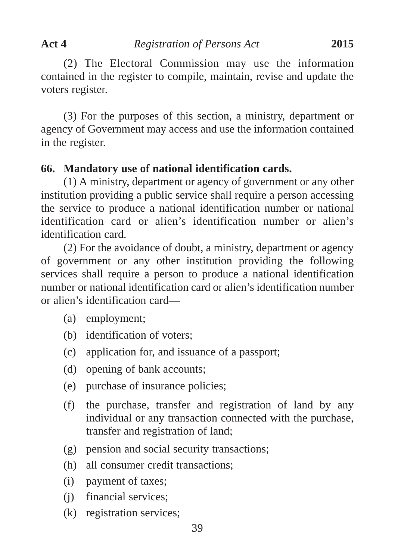(2) The Electoral Commission may use the information contained in the register to compile, maintain, revise and update the voters register.

(3) For the purposes of this section, a ministry, department or agency of Government may access and use the information contained in the register.

#### **66. Mandatory use of national identification cards.**

(1) A ministry, department or agency of government or any other institution providing a public service shall require a person accessing the service to produce a national identification number or national identification card or alien's identification number or alien's identification card.

(2) For the avoidance of doubt, a ministry, department or agency of government or any other institution providing the following services shall require a person to produce a national identification number or national identification card or alien's identification number or alien's identification card—

- (a) employment;
- (b) identification of voters;
- (c) application for, and issuance of a passport;
- (d) opening of bank accounts;
- (e) purchase of insurance policies;
- (f) the purchase, transfer and registration of land by any individual or any transaction connected with the purchase, transfer and registration of land;
- (g) pension and social security transactions;
- (h) all consumer credit transactions;
- (i) payment of taxes;
- (j) financial services;
- (k) registration services;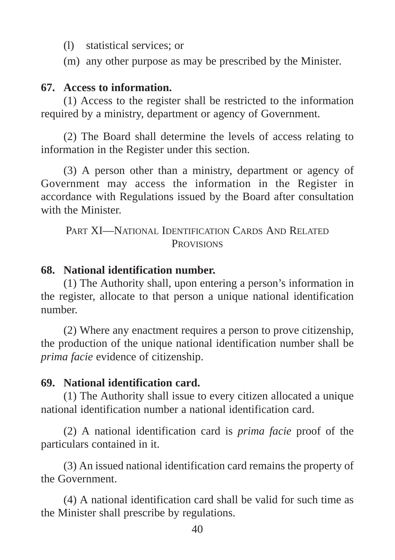- (l) statistical services; or
- (m) any other purpose as may be prescribed by the Minister*.*

# **67. Access to information.**

(1) Access to the register shall be restricted to the information required by a ministry, department or agency of Government.

(2) The Board shall determine the levels of access relating to information in the Register under this section.

(3) A person other than a ministry, department or agency of Government may access the information in the Register in accordance with Regulations issued by the Board after consultation with the Minister.

PART XI—NATIONAL IDENTIFICATION CARDS AND RELATED **PROVISIONS** 

#### **68. National identification number.**

(1) The Authority shall, upon entering a person's information in the register, allocate to that person a unique national identification number.

(2) Where any enactment requires a person to prove citizenship, the production of the unique national identification number shall be *prima facie* evidence of citizenship.

# **69. National identification card.**

(1) The Authority shall issue to every citizen allocated a unique national identification number a national identification card.

(2) A national identification card is *prima facie* proof of the particulars contained in it.

(3) An issued national identification card remains the property of the Government.

(4) A national identification card shall be valid for such time as the Minister shall prescribe by regulations.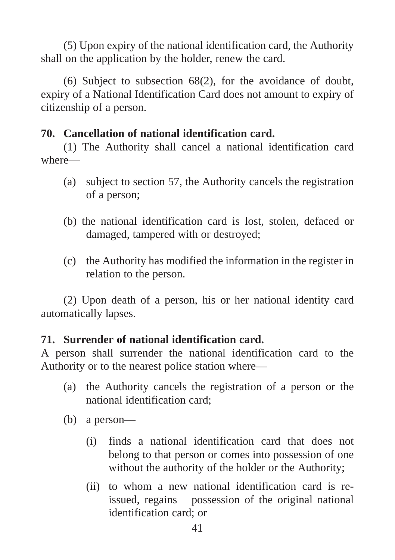(5) Upon expiry of the national identification card, the Authority shall on the application by the holder, renew the card.

(6) Subject to subsection 68(2), for the avoidance of doubt, expiry of a National Identification Card does not amount to expiry of citizenship of a person.

# **70. Cancellation of national identification card.**

(1) The Authority shall cancel a national identification card where—

- (a) subject to section 57, the Authority cancels the registration of a person;
- (b) the national identification card is lost, stolen, defaced or damaged, tampered with or destroyed;
- (c) the Authority has modified the information in the register in relation to the person.

(2) Upon death of a person, his or her national identity card automatically lapses.

# **71. Surrender of national identification card.**

A person shall surrender the national identification card to the Authority or to the nearest police station where—

- (a) the Authority cancels the registration of a person or the national identification card;
- (b) a person—
	- (i) finds a national identification card that does not belong to that person or comes into possession of one without the authority of the holder or the Authority;
	- (ii) to whom a new national identification card is reissued, regains possession of the original national identification card; or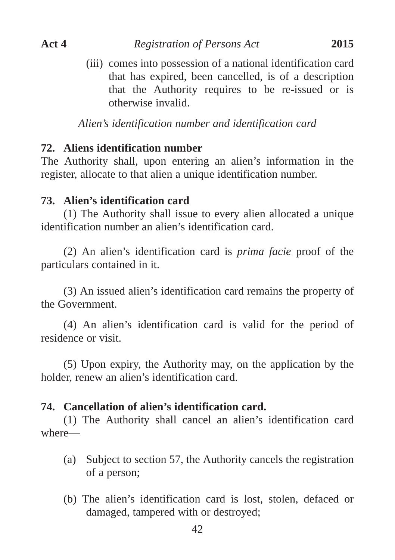(iii) comes into possession of a national identification card that has expired, been cancelled, is of a description that the Authority requires to be re-issued or is otherwise invalid.

*Alien's identification number and identification card*

#### **72. Aliens identification number**

The Authority shall, upon entering an alien's information in the register, allocate to that alien a unique identification number.

#### **73. Alien's identification card**

(1) The Authority shall issue to every alien allocated a unique identification number an alien's identification card.

(2) An alien's identification card is *prima facie* proof of the particulars contained in it.

(3) An issued alien's identification card remains the property of the Government.

(4) An alien's identification card is valid for the period of residence or visit.

(5) Upon expiry, the Authority may, on the application by the holder, renew an alien's identification card.

#### **74. Cancellation of alien's identification card.**

(1) The Authority shall cancel an alien's identification card where—

- (a) Subject to section 57, the Authority cancels the registration of a person;
- (b) The alien's identification card is lost, stolen, defaced or damaged, tampered with or destroyed;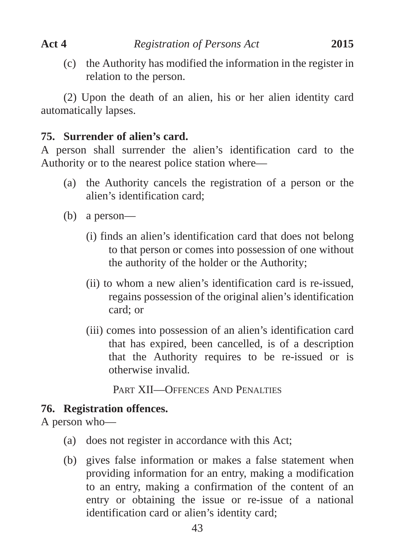(c) the Authority has modified the information in the register in relation to the person.

(2) Upon the death of an alien, his or her alien identity card automatically lapses.

# **75. Surrender of alien's card.**

A person shall surrender the alien's identification card to the Authority or to the nearest police station where—

- (a) the Authority cancels the registration of a person or the alien's identification card;
- (b) a person—
	- (i) finds an alien's identification card that does not belong to that person or comes into possession of one without the authority of the holder or the Authority;
	- (ii) to whom a new alien's identification card is re-issued, regains possession of the original alien's identification card; or
	- (iii) comes into possession of an alien's identification card that has expired, been cancelled, is of a description that the Authority requires to be re-issued or is otherwise invalid.

PART XII—OFFENCES AND PENALTIES

# **76. Registration offences.**

A person who—

- (a) does not register in accordance with this Act;
- (b) gives false information or makes a false statement when providing information for an entry, making a modification to an entry, making a confirmation of the content of an entry or obtaining the issue or re-issue of a national identification card or alien's identity card;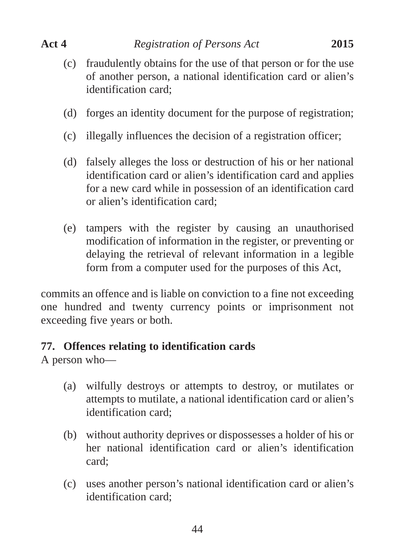- (c) fraudulently obtains for the use of that person or for the use of another person, a national identification card or alien's identification card;
- (d) forges an identity document for the purpose of registration;
- (c) illegally influences the decision of a registration officer;
- (d) falsely alleges the loss or destruction of his or her national identification card or alien's identification card and applies for a new card while in possession of an identification card or alien's identification card;
- (e) tampers with the register by causing an unauthorised modification of information in the register, or preventing or delaying the retrieval of relevant information in a legible form from a computer used for the purposes of this Act,

commits an offence and is liable on conviction to a fine not exceeding one hundred and twenty currency points or imprisonment not exceeding five years or both.

# **77. Offences relating to identification cards**

A person who—

- (a) wilfully destroys or attempts to destroy, or mutilates or attempts to mutilate, a national identification card or alien's identification card;
- (b) without authority deprives or dispossesses a holder of his or her national identification card or alien's identification card;
- (c) uses another person's national identification card or alien's identification card;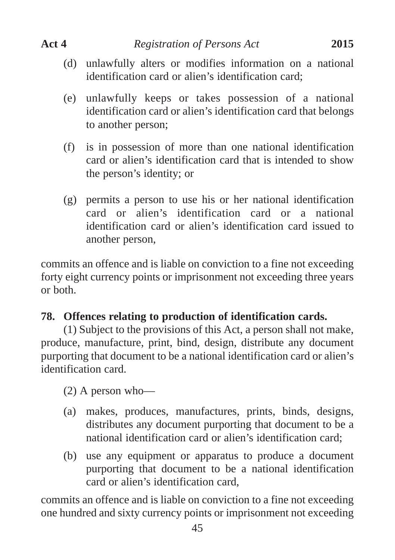- (d) unlawfully alters or modifies information on a national identification card or alien's identification card;
- (e) unlawfully keeps or takes possession of a national identification card or alien's identification card that belongs to another person;
- (f) is in possession of more than one national identification card or alien's identification card that is intended to show the person's identity; or
- (g) permits a person to use his or her national identification card or alien's identification card or a national identification card or alien's identification card issued to another person,

commits an offence and is liable on conviction to a fine not exceeding forty eight currency points or imprisonment not exceeding three years or both.

# **78. Offences relating to production of identification cards.**

(1) Subject to the provisions of this Act, a person shall not make, produce, manufacture, print, bind, design, distribute any document purporting that document to be a national identification card or alien's identification card.

(2) A person who—

- (a) makes, produces, manufactures, prints, binds, designs, distributes any document purporting that document to be a national identification card or alien's identification card;
- (b) use any equipment or apparatus to produce a document purporting that document to be a national identification card or alien's identification card,

commits an offence and is liable on conviction to a fine not exceeding one hundred and sixty currency points or imprisonment not exceeding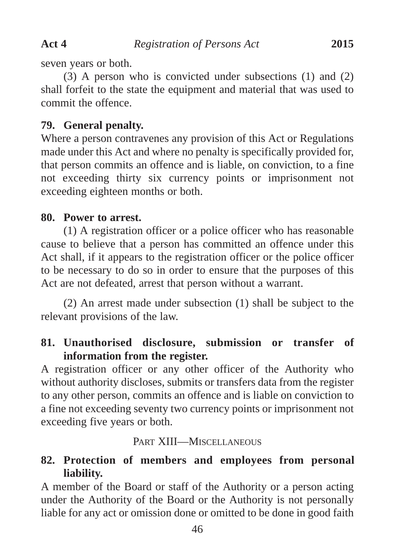seven years or both.

(3) A person who is convicted under subsections (1) and (2) shall forfeit to the state the equipment and material that was used to commit the offence.

# **79. General penalty.**

Where a person contravenes any provision of this Act or Regulations made under this Act and where no penalty is specifically provided for, that person commits an offence and is liable, on conviction, to a fine not exceeding thirty six currency points or imprisonment not exceeding eighteen months or both.

# **80. Power to arrest.**

(1) A registration officer or a police officer who has reasonable cause to believe that a person has committed an offence under this Act shall, if it appears to the registration officer or the police officer to be necessary to do so in order to ensure that the purposes of this Act are not defeated, arrest that person without a warrant.

(2) An arrest made under subsection (1) shall be subject to the relevant provisions of the law.

# **81. Unauthorised disclosure, submission or transfer of information from the register.**

A registration officer or any other officer of the Authority who without authority discloses, submits or transfers data from the register to any other person, commits an offence and is liable on conviction to a fine not exceeding seventy two currency points or imprisonment not exceeding five years or both.

# PART XIII—MISCELLANEOUS

# **82. Protection of members and employees from personal liability.**

A member of the Board or staff of the Authority or a person acting under the Authority of the Board or the Authority is not personally liable for any act or omission done or omitted to be done in good faith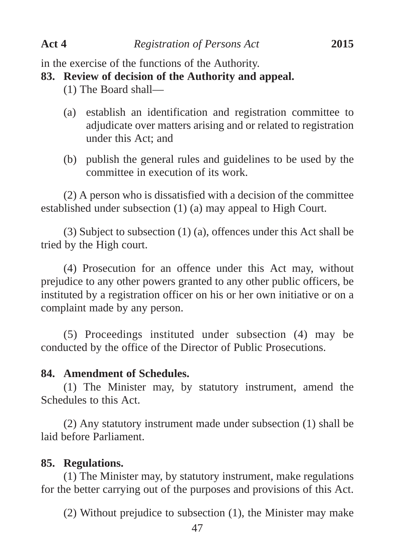in the exercise of the functions of the Authority.

#### **83. Review of decision of the Authority and appeal.**

- (1) The Board shall—
- (a) establish an identification and registration committee to adjudicate over matters arising and or related to registration under this Act; and
- (b) publish the general rules and guidelines to be used by the committee in execution of its work.

(2) A person who is dissatisfied with a decision of the committee established under subsection (1) (a) may appeal to High Court.

(3) Subject to subsection (1) (a), offences under this Act shall be tried by the High court.

(4) Prosecution for an offence under this Act may, without prejudice to any other powers granted to any other public officers, be instituted by a registration officer on his or her own initiative or on a complaint made by any person.

(5) Proceedings instituted under subsection (4) may be conducted by the office of the Director of Public Prosecutions.

#### **84. Amendment of Schedules.**

(1) The Minister may, by statutory instrument, amend the Schedules to this Act.

(2) Any statutory instrument made under subsection (1) shall be laid before Parliament.

#### **85. Regulations.**

(1) The Minister may, by statutory instrument, make regulations for the better carrying out of the purposes and provisions of this Act.

(2) Without prejudice to subsection (1), the Minister may make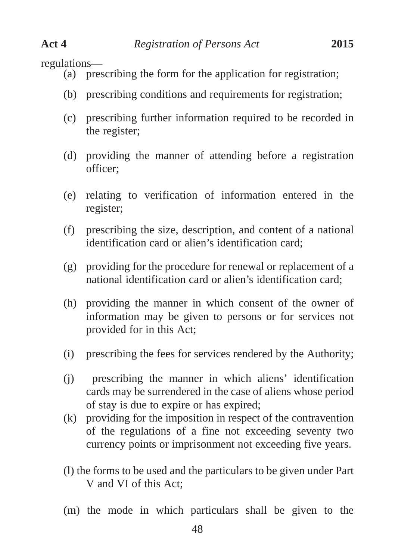regulations—

- (a) prescribing the form for the application for registration;
- (b) prescribing conditions and requirements for registration;
- (c) prescribing further information required to be recorded in the register;
- (d) providing the manner of attending before a registration officer;
- (e) relating to verification of information entered in the register;
- (f) prescribing the size, description, and content of a national identification card or alien's identification card;
- (g) providing for the procedure for renewal or replacement of a national identification card or alien's identification card;
- (h) providing the manner in which consent of the owner of information may be given to persons or for services not provided for in this Act;
- (i) prescribing the fees for services rendered by the Authority;
- (j) prescribing the manner in which aliens' identification cards may be surrendered in the case of aliens whose period of stay is due to expire or has expired;
- (k) providing for the imposition in respect of the contravention of the regulations of a fine not exceeding seventy two currency points or imprisonment not exceeding five years.
- (l) the forms to be used and the particulars to be given under Part V and VI of this Act;
- (m) the mode in which particulars shall be given to the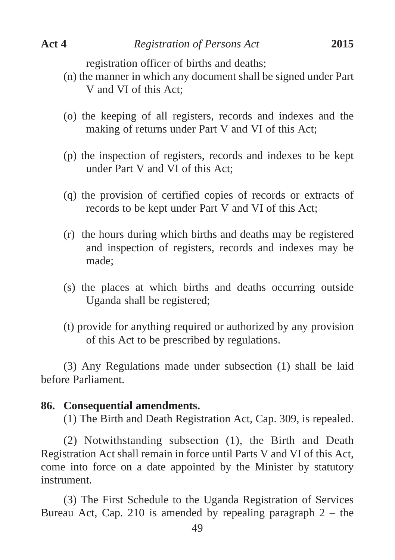registration officer of births and deaths;

- (n) the manner in which any document shall be signed under Part V and VI of this Act;
- (o) the keeping of all registers, records and indexes and the making of returns under Part V and VI of this Act;
- (p) the inspection of registers, records and indexes to be kept under Part V and VI of this Act;
- (q) the provision of certified copies of records or extracts of records to be kept under Part V and VI of this Act;
- (r) the hours during which births and deaths may be registered and inspection of registers, records and indexes may be made;
- (s) the places at which births and deaths occurring outside Uganda shall be registered;
- (t) provide for anything required or authorized by any provision of this Act to be prescribed by regulations.

(3) Any Regulations made under subsection (1) shall be laid before Parliament.

#### **86. Consequential amendments.**

(1) The Birth and Death Registration Act, Cap. 309, is repealed.

(2) Notwithstanding subsection (1), the Birth and Death Registration Act shall remain in force until Parts V and VI of this Act, come into force on a date appointed by the Minister by statutory instrument.

(3) The First Schedule to the Uganda Registration of Services Bureau Act, Cap. 210 is amended by repealing paragraph  $2 -$  the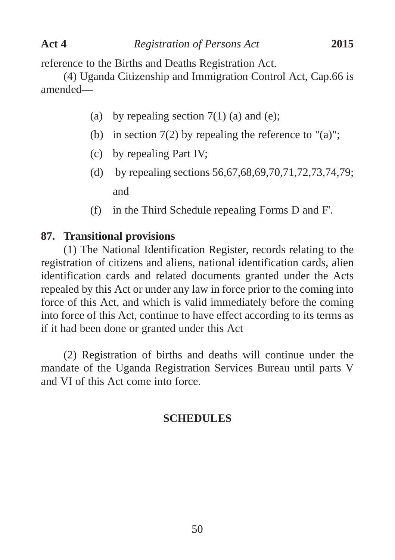reference to the Births and Deaths Registration Act.

(4) Uganda Citizenship and Immigration Control Act, Cap.66 is amended—

- (a) by repealing section  $7(1)$  (a) and (e);
- (b) in section  $7(2)$  by repealing the reference to "(a)";
- (c) by repealing Part IV;
- (d) by repealing sections 56,67,68,69,70,71,72,73,74,79; and
- (f) in the Third Schedule repealing Forms D and F'.

# **87. Transitional provisions**

(1) The National Identification Register, records relating to the registration of citizens and aliens, national identification cards, alien identification cards and related documents granted under the Acts repealed by this Act or under any law in force prior to the coming into force of this Act, and which is valid immediately before the coming into force of this Act, continue to have effect according to its terms as if it had been done or granted under this Act

(2) Registration of births and deaths will continue under the mandate of the Uganda Registration Services Bureau until parts V and VI of this Act come into force.

# **SCHEDULES**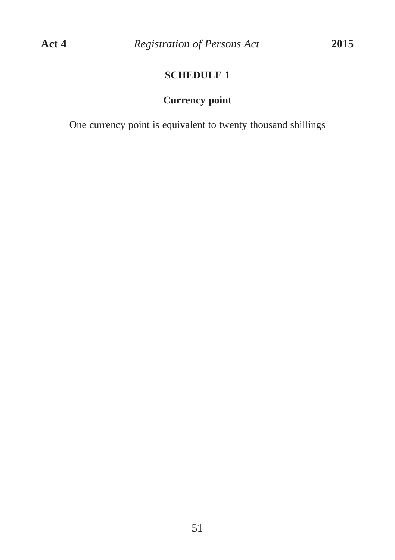# **SCHEDULE 1**

# **Currency point**

One currency point is equivalent to twenty thousand shillings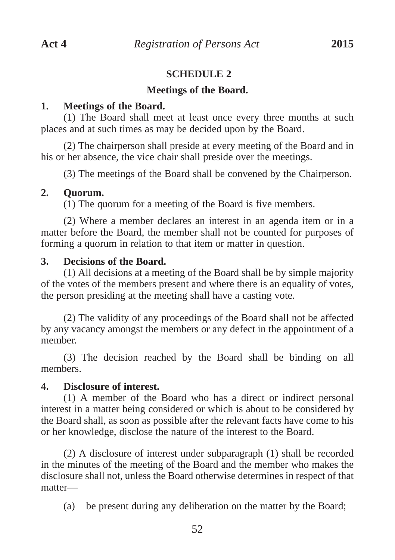#### **SCHEDULE 2**

#### **Meetings of the Board.**

#### **1. Meetings of the Board.**

(1) The Board shall meet at least once every three months at such places and at such times as may be decided upon by the Board.

(2) The chairperson shall preside at every meeting of the Board and in his or her absence, the vice chair shall preside over the meetings.

(3) The meetings of the Board shall be convened by the Chairperson.

#### **2. Quorum.**

(1) The quorum for a meeting of the Board is five members.

(2) Where a member declares an interest in an agenda item or in a matter before the Board, the member shall not be counted for purposes of forming a quorum in relation to that item or matter in question.

#### **3. Decisions of the Board.**

(1) All decisions at a meeting of the Board shall be by simple majority of the votes of the members present and where there is an equality of votes, the person presiding at the meeting shall have a casting vote.

(2) The validity of any proceedings of the Board shall not be affected by any vacancy amongst the members or any defect in the appointment of a member.

(3) The decision reached by the Board shall be binding on all members.

#### **4. Disclosure of interest.**

(1) A member of the Board who has a direct or indirect personal interest in a matter being considered or which is about to be considered by the Board shall, as soon as possible after the relevant facts have come to his or her knowledge, disclose the nature of the interest to the Board.

(2) A disclosure of interest under subparagraph (1) shall be recorded in the minutes of the meeting of the Board and the member who makes the disclosure shall not, unless the Board otherwise determines in respect of that matter—

(a) be present during any deliberation on the matter by the Board;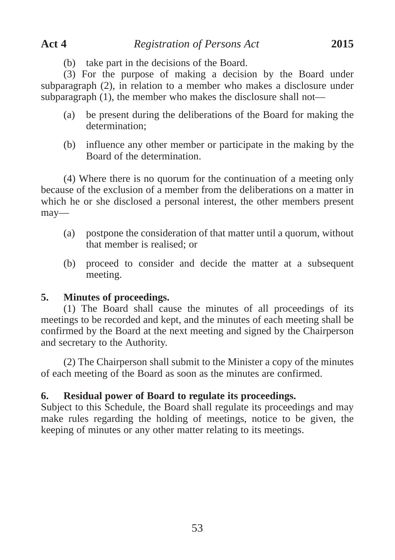(b) take part in the decisions of the Board.

(3) For the purpose of making a decision by the Board under subparagraph (2), in relation to a member who makes a disclosure under subparagraph (1), the member who makes the disclosure shall not—

- (a) be present during the deliberations of the Board for making the determination;
- (b) influence any other member or participate in the making by the Board of the determination.

(4) Where there is no quorum for the continuation of a meeting only because of the exclusion of a member from the deliberations on a matter in which he or she disclosed a personal interest, the other members present may—

- (a) postpone the consideration of that matter until a quorum, without that member is realised; or
- (b) proceed to consider and decide the matter at a subsequent meeting.

#### **5. Minutes of proceedings.**

(1) The Board shall cause the minutes of all proceedings of its meetings to be recorded and kept, and the minutes of each meeting shall be confirmed by the Board at the next meeting and signed by the Chairperson and secretary to the Authority.

(2) The Chairperson shall submit to the Minister a copy of the minutes of each meeting of the Board as soon as the minutes are confirmed.

#### **6. Residual power of Board to regulate its proceedings.**

Subject to this Schedule, the Board shall regulate its proceedings and may make rules regarding the holding of meetings, notice to be given, the keeping of minutes or any other matter relating to its meetings.